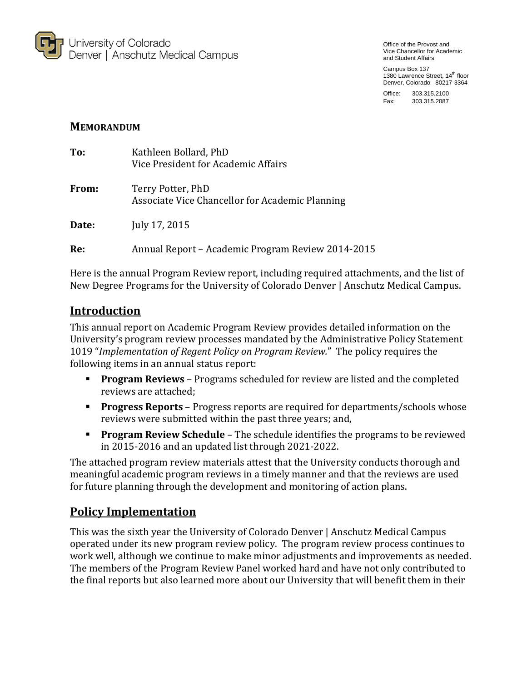

Office of the Provost and Vice Chancellor for Academic and Student Affairs

Campus Box 137 1380 Lawrence Street, 14<sup>th</sup> floor Denver, Colorado 80217-3364

Office: 303.315.2100 Fax: 303.315.2087

## **MEMORANDUM**

| To:   | Kathleen Bollard, PhD<br>Vice President for Academic Affairs         |
|-------|----------------------------------------------------------------------|
| From: | Terry Potter, PhD<br>Associate Vice Chancellor for Academic Planning |
| Date: | July 17, 2015                                                        |
| Re:   | Annual Report – Academic Program Review 2014-2015                    |

Here is the annual Program Review report, including required attachments, and the list of New Degree Programs for the University of Colorado Denver | Anschutz Medical Campus.

# **Introduction**

This annual report on Academic Program Review provides detailed information on the University's program review processes mandated by the Administrative Policy Statement 1019 "*Implementation of Regent Policy on Program Review.*" The policy requires the following items in an annual status report:

- **Program Reviews** Programs scheduled for review are listed and the completed reviews are attached;
- **Progress Reports** Progress reports are required for departments/schools whose reviews were submitted within the past three years; and,
- **Program Review Schedule** The schedule identifies the programs to be reviewed in 2015-2016 and an updated list through 2021-2022.

The attached program review materials attest that the University conducts thorough and meaningful academic program reviews in a timely manner and that the reviews are used for future planning through the development and monitoring of action plans.

# **Policy Implementation**

This was the sixth year the University of Colorado Denver | Anschutz Medical Campus operated under its new program review policy. The program review process continues to work well, although we continue to make minor adjustments and improvements as needed. The members of the Program Review Panel worked hard and have not only contributed to the final reports but also learned more about our University that will benefit them in their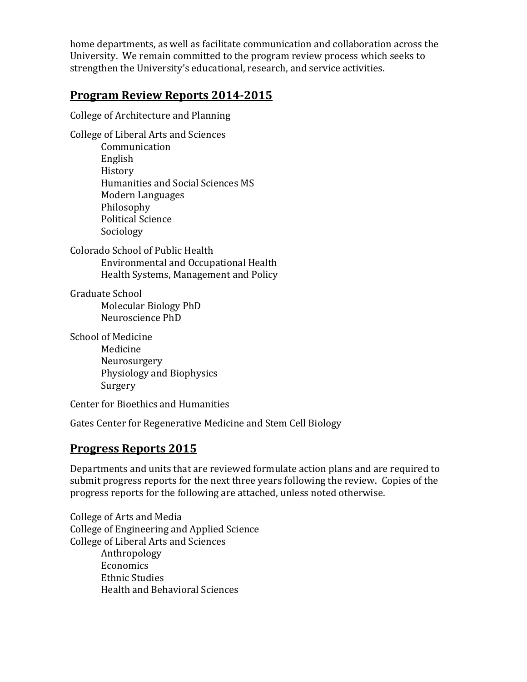home departments, as well as facilitate communication and collaboration across the University. We remain committed to the program review process which seeks to strengthen the University's educational, research, and service activities.

# **Program Review Reports 2014-2015**

College of Architecture and Planning

College of Liberal Arts and Sciences Communication English History Humanities and Social Sciences MS Modern Languages Philosophy Political Science Sociology

Colorado School of Public Health Environmental and Occupational Health Health Systems, Management and Policy

Graduate School Molecular Biology PhD Neuroscience PhD

School of Medicine Medicine Neurosurgery Physiology and Biophysics Surgery

Center for Bioethics and Humanities

Gates Center for Regenerative Medicine and Stem Cell Biology

# **Progress Reports 2015**

Departments and units that are reviewed formulate action plans and are required to submit progress reports for the next three years following the review. Copies of the progress reports for the following are attached, unless noted otherwise.

College of Arts and Media College of Engineering and Applied Science College of Liberal Arts and Sciences Anthropology Economics Ethnic Studies Health and Behavioral Sciences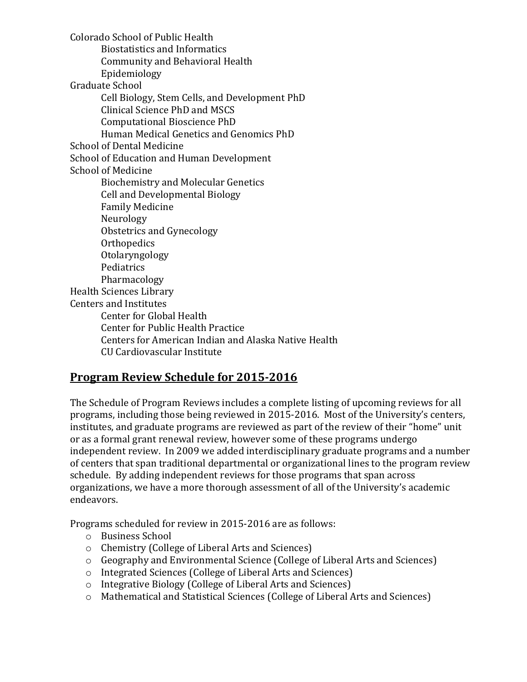Colorado School of Public Health Biostatistics and Informatics Community and Behavioral Health Epidemiology Graduate School Cell Biology, Stem Cells, and Development PhD Clinical Science PhD and MSCS Computational Bioscience PhD Human Medical Genetics and Genomics PhD School of Dental Medicine School of Education and Human Development School of Medicine Biochemistry and Molecular Genetics Cell and Developmental Biology Family Medicine Neurology Obstetrics and Gynecology **Orthopedics** Otolaryngology Pediatrics Pharmacology Health Sciences Library Centers and Institutes Center for Global Health Center for Public Health Practice Centers for American Indian and Alaska Native Health CU Cardiovascular Institute

# **Program Review Schedule for 2015-2016**

The Schedule of Program Reviews includes a complete listing of upcoming reviews for all programs, including those being reviewed in 2015-2016. Most of the University's centers, institutes, and graduate programs are reviewed as part of the review of their "home" unit or as a formal grant renewal review, however some of these programs undergo independent review. In 2009 we added interdisciplinary graduate programs and a number of centers that span traditional departmental or organizational lines to the program review schedule. By adding independent reviews for those programs that span across organizations, we have a more thorough assessment of all of the University's academic endeavors.

Programs scheduled for review in 2015-2016 are as follows:

- o Business School
- o Chemistry (College of Liberal Arts and Sciences)
- o Geography and Environmental Science (College of Liberal Arts and Sciences)
- o Integrated Sciences (College of Liberal Arts and Sciences)
- o Integrative Biology (College of Liberal Arts and Sciences)
- o Mathematical and Statistical Sciences (College of Liberal Arts and Sciences)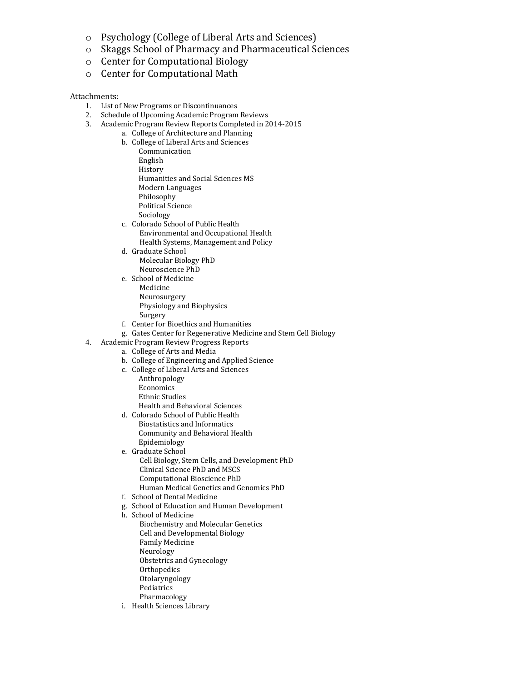- o Psychology (College of Liberal Arts and Sciences)
- o Skaggs School of Pharmacy and Pharmaceutical Sciences
- o Center for Computational Biology
- o Center for Computational Math

#### Attachments:

- 1. List of New Programs or Discontinuances
- 2. Schedule of Upcoming Academic Program Reviews
- 3. Academic Program Review Reports Completed in 2014-2015
	- a. College of Architecture and Planning
		- b. College of Liberal Arts and Sciences Communication
			- English
			- History
			- Humanities and Social Sciences MS
			- Modern Languages
			- Philosophy
			- Political Science
			- Sociology
		- c. Colorado School of Public Health Environmental and Occupational Health Health Systems, Management and Policy
		- d. Graduate School Molecular Biology PhD
		- Neuroscience PhD e. School of Medicine Medicine Neurosurgery Physiology and Biophysics
			- Surgery
		- f. Center for Bioethics and Humanities
		- g. Gates Center for Regenerative Medicine and Stem Cell Biology
- 4. Academic Program Review Progress Reports
	- a. College of Arts and Media
		- b. College of Engineering and Applied Science
		- c. College of Liberal Arts and Sciences
			- Anthropology **Economics** Ethnic Studies
				- Health and Behavioral Sciences
		- d. Colorado School of Public Health Biostatistics and Informatics Community and Behavioral Health Epidemiology
		- e. Graduate School Cell Biology, Stem Cells, and Development PhD Clinical Science PhD and MSCS Computational Bioscience PhD Human Medical Genetics and Genomics PhD
		- f. School of Dental Medicine
		- g. School of Education and Human Development
		- h. School of Medicine
			- Biochemistry and Molecular Genetics
			- Cell and Developmental Biology
			- Family Medicine
			- Neurology
			- Obstetrics and Gynecology
			- **Orthopedics**
			- Otolaryngology
			- Pediatrics
			- Pharmacology
		- i. Health Sciences Library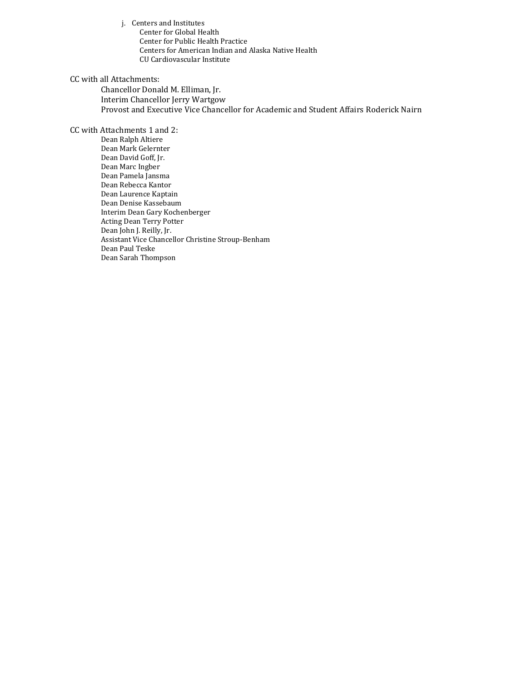j. Centers and Institutes Center for Global Health Center for Public Health Practice Centers for American Indian and Alaska Native Health CU Cardiovascular Institute

#### CC with all Attachments:

Chancellor Donald M. Elliman, Jr. Interim Chancellor Jerry Wartgow Provost and Executive Vice Chancellor for Academic and Student Affairs Roderick Nairn

### CC with Attachments 1 and 2:

Dean Ralph Altiere Dean Mark Gelernter Dean David Goff, Jr. Dean Marc Ingber Dean Pamela Jansma Dean Rebecca Kantor Dean Laurence Kaptain Dean Denise Kassebaum Interim Dean Gary Kochenberger Acting Dean Terry Potter Dean John J. Reilly, Jr. Assistant Vice Chancellor Christine Stroup-Benham Dean Paul Teske Dean Sarah Thompson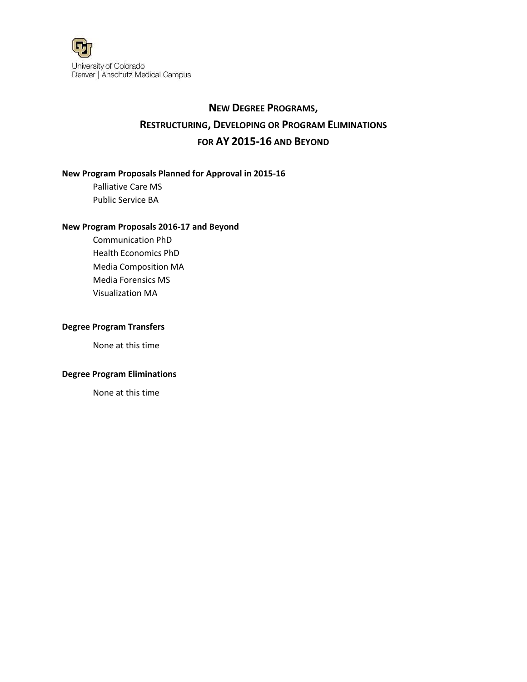

# **NEW DEGREE PROGRAMS, RESTRUCTURING, DEVELOPING OR PROGRAM ELIMINATIONS FOR AY 2015-16 AND BEYOND**

## **New Program Proposals Planned for Approval in 2015-16**

Palliative Care MS Public Service BA

#### **New Program Proposals 2016-17 and Beyond**

Communication PhD Health Economics PhD Media Composition MA Media Forensics MS Visualization MA

## **Degree Program Transfers**

None at this time

## **Degree Program Eliminations**

None at this time